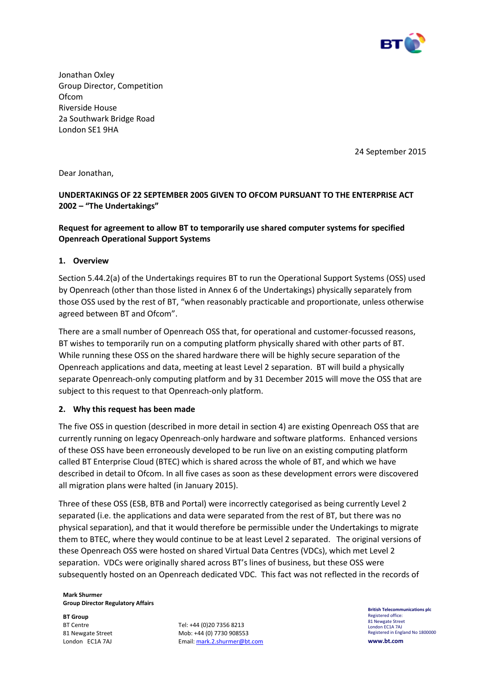

Jonathan Oxley Group Director, Competition Ofcom Riverside House 2a Southwark Bridge Road London SE1 9HA

24 September 2015

Dear Jonathan,

# **UNDERTAKINGS OF 22 SEPTEMBER 2005 GIVEN TO OFCOM PURSUANT TO THE ENTERPRISE ACT 2002 – "The Undertakings"**

## **Request for agreement to allow BT to temporarily use shared computer systems for specified Openreach Operational Support Systems**

## **1. Overview**

Section 5.44.2(a) of the Undertakings requires BT to run the Operational Support Systems (OSS) used by Openreach (other than those listed in Annex 6 of the Undertakings) physically separately from those OSS used by the rest of BT, "when reasonably practicable and proportionate, unless otherwise agreed between BT and Ofcom".

There are a small number of Openreach OSS that, for operational and customer-focussed reasons, BT wishes to temporarily run on a computing platform physically shared with other parts of BT. While running these OSS on the shared hardware there will be highly secure separation of the Openreach applications and data, meeting at least Level 2 separation. BT will build a physically separate Openreach-only computing platform and by 31 December 2015 will move the OSS that are subject to this request to that Openreach-only platform.

## **2. Why this request has been made**

The five OSS in question (described in more detail in section 4) are existing Openreach OSS that are currently running on legacy Openreach-only hardware and software platforms. Enhanced versions of these OSS have been erroneously developed to be run live on an existing computing platform called BT Enterprise Cloud (BTEC) which is shared across the whole of BT, and which we have described in detail to Ofcom. In all five cases as soon as these development errors were discovered all migration plans were halted (in January 2015).

Three of these OSS (ESB, BTB and Portal) were incorrectly categorised as being currently Level 2 separated (i.e. the applications and data were separated from the rest of BT, but there was no physical separation), and that it would therefore be permissible under the Undertakings to migrate them to BTEC, where they would continue to be at least Level 2 separated. The original versions of these Openreach OSS were hosted on shared Virtual Data Centres (VDCs), which met Level 2 separation. VDCs were originally shared across BT's lines of business, but these OSS were subsequently hosted on an Openreach dedicated VDC. This fact was not reflected in the records of

**Mark Shurmer Group Director Regulatory Affairs**

**BT Group**  BT Centre 81 Newgate Street London EC1A 7AJ

Tel: +44 (0)20 7356 8213 Mob: +44 (0) 7730 908553 Email[: mark.2.shurmer@bt.com](mailto:mark.2.shurmer@bt.com) **British Telecommunications plc**  Registered office: 81 Newgate Street London EC1A 7AJ Registered in England No 1800000 **www.bt.com**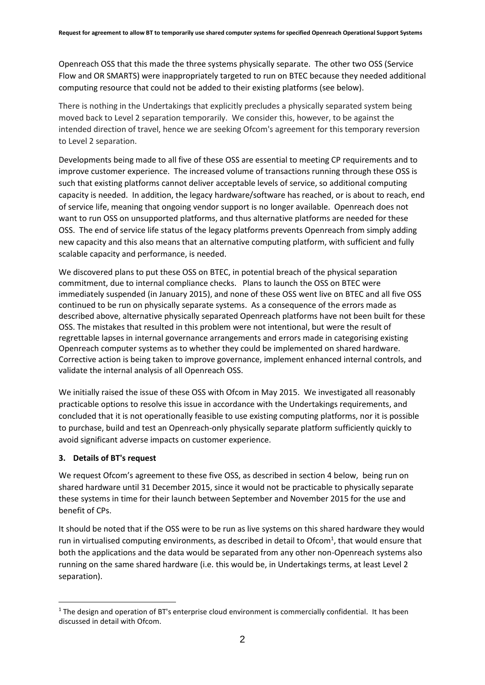Openreach OSS that this made the three systems physically separate. The other two OSS (Service Flow and OR SMARTS) were inappropriately targeted to run on BTEC because they needed additional computing resource that could not be added to their existing platforms (see below).

There is nothing in the Undertakings that explicitly precludes a physically separated system being moved back to Level 2 separation temporarily. We consider this, however, to be against the intended direction of travel, hence we are seeking Ofcom's agreement for this temporary reversion to Level 2 separation.

Developments being made to all five of these OSS are essential to meeting CP requirements and to improve customer experience. The increased volume of transactions running through these OSS is such that existing platforms cannot deliver acceptable levels of service, so additional computing capacity is needed. In addition, the legacy hardware/software has reached, or is about to reach, end of service life, meaning that ongoing vendor support is no longer available. Openreach does not want to run OSS on unsupported platforms, and thus alternative platforms are needed for these OSS. The end of service life status of the legacy platforms prevents Openreach from simply adding new capacity and this also means that an alternative computing platform, with sufficient and fully scalable capacity and performance, is needed.

We discovered plans to put these OSS on BTEC, in potential breach of the physical separation commitment, due to internal compliance checks. Plans to launch the OSS on BTEC were immediately suspended (in January 2015), and none of these OSS went live on BTEC and all five OSS continued to be run on physically separate systems. As a consequence of the errors made as described above, alternative physically separated Openreach platforms have not been built for these OSS. The mistakes that resulted in this problem were not intentional, but were the result of regrettable lapses in internal governance arrangements and errors made in categorising existing Openreach computer systems as to whether they could be implemented on shared hardware. Corrective action is being taken to improve governance, implement enhanced internal controls, and validate the internal analysis of all Openreach OSS.

We initially raised the issue of these OSS with Ofcom in May 2015. We investigated all reasonably practicable options to resolve this issue in accordance with the Undertakings requirements, and concluded that it is not operationally feasible to use existing computing platforms, nor it is possible to purchase, build and test an Openreach-only physically separate platform sufficiently quickly to avoid significant adverse impacts on customer experience.

## **3. Details of BT's request**

1

We request Ofcom's agreement to these five OSS, as described in section 4 below, being run on shared hardware until 31 December 2015, since it would not be practicable to physically separate these systems in time for their launch between September and November 2015 for the use and benefit of CPs.

It should be noted that if the OSS were to be run as live systems on this shared hardware they would run in virtualised computing environments, as described in detail to Ofcom<sup>1</sup>, that would ensure that both the applications and the data would be separated from any other non-Openreach systems also running on the same shared hardware (i.e. this would be, in Undertakings terms, at least Level 2 separation).

 $1$  The design and operation of BT's enterprise cloud environment is commercially confidential. It has been discussed in detail with Ofcom.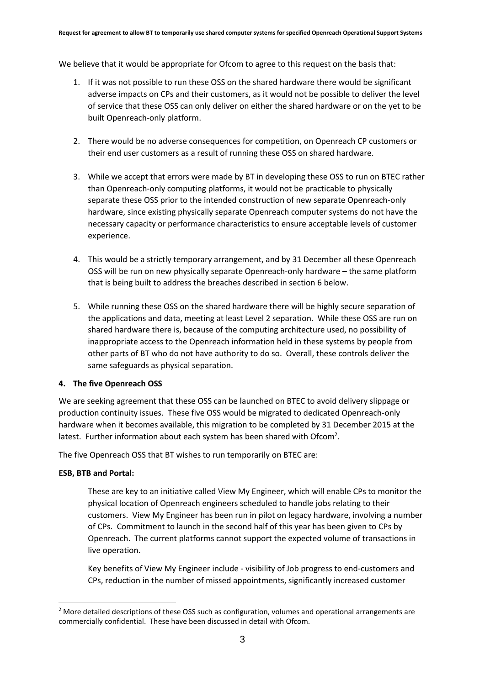We believe that it would be appropriate for Ofcom to agree to this request on the basis that:

- 1. If it was not possible to run these OSS on the shared hardware there would be significant adverse impacts on CPs and their customers, as it would not be possible to deliver the level of service that these OSS can only deliver on either the shared hardware or on the yet to be built Openreach-only platform.
- 2. There would be no adverse consequences for competition, on Openreach CP customers or their end user customers as a result of running these OSS on shared hardware.
- 3. While we accept that errors were made by BT in developing these OSS to run on BTEC rather than Openreach-only computing platforms, it would not be practicable to physically separate these OSS prior to the intended construction of new separate Openreach-only hardware, since existing physically separate Openreach computer systems do not have the necessary capacity or performance characteristics to ensure acceptable levels of customer experience.
- 4. This would be a strictly temporary arrangement, and by 31 December all these Openreach OSS will be run on new physically separate Openreach-only hardware – the same platform that is being built to address the breaches described in section 6 below.
- 5. While running these OSS on the shared hardware there will be highly secure separation of the applications and data, meeting at least Level 2 separation. While these OSS are run on shared hardware there is, because of the computing architecture used, no possibility of inappropriate access to the Openreach information held in these systems by people from other parts of BT who do not have authority to do so. Overall, these controls deliver the same safeguards as physical separation.

## **4. The five Openreach OSS**

We are seeking agreement that these OSS can be launched on BTEC to avoid delivery slippage or production continuity issues. These five OSS would be migrated to dedicated Openreach-only hardware when it becomes available, this migration to be completed by 31 December 2015 at the latest. Further information about each system has been shared with Ofcom<sup>2</sup>.

The five Openreach OSS that BT wishes to run temporarily on BTEC are:

## **ESB, BTB and Portal:**

1

These are key to an initiative called View My Engineer, which will enable CPs to monitor the physical location of Openreach engineers scheduled to handle jobs relating to their customers. View My Engineer has been run in pilot on legacy hardware, involving a number of CPs. Commitment to launch in the second half of this year has been given to CPs by Openreach. The current platforms cannot support the expected volume of transactions in live operation.

Key benefits of View My Engineer include - visibility of Job progress to end-customers and CPs, reduction in the number of missed appointments, significantly increased customer

<sup>&</sup>lt;sup>2</sup> More detailed descriptions of these OSS such as configuration, volumes and operational arrangements are commercially confidential. These have been discussed in detail with Ofcom.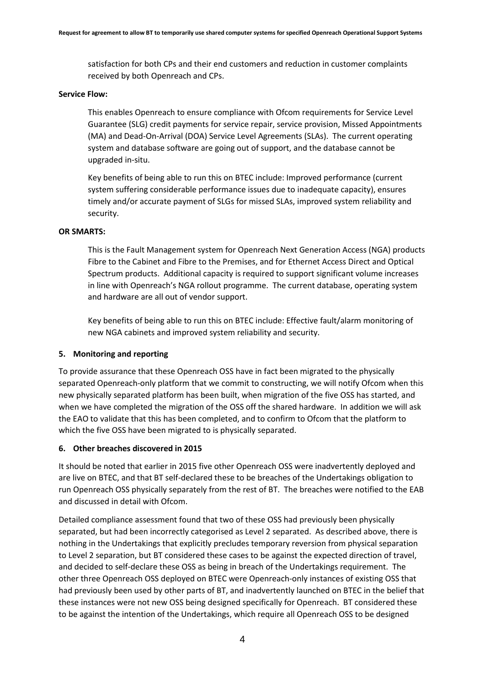satisfaction for both CPs and their end customers and reduction in customer complaints received by both Openreach and CPs.

#### **Service Flow:**

This enables Openreach to ensure compliance with Ofcom requirements for Service Level Guarantee (SLG) credit payments for service repair, service provision, Missed Appointments (MA) and Dead-On-Arrival (DOA) Service Level Agreements (SLAs). The current operating system and database software are going out of support, and the database cannot be upgraded in-situ.

Key benefits of being able to run this on BTEC include: Improved performance (current system suffering considerable performance issues due to inadequate capacity), ensures timely and/or accurate payment of SLGs for missed SLAs, improved system reliability and security.

#### **OR SMARTS:**

This is the Fault Management system for Openreach Next Generation Access (NGA) products Fibre to the Cabinet and Fibre to the Premises, and for Ethernet Access Direct and Optical Spectrum products. Additional capacity is required to support significant volume increases in line with Openreach's NGA rollout programme. The current database, operating system and hardware are all out of vendor support.

Key benefits of being able to run this on BTEC include: Effective fault/alarm monitoring of new NGA cabinets and improved system reliability and security.

## **5. Monitoring and reporting**

To provide assurance that these Openreach OSS have in fact been migrated to the physically separated Openreach-only platform that we commit to constructing, we will notify Ofcom when this new physically separated platform has been built, when migration of the five OSS has started, and when we have completed the migration of the OSS off the shared hardware. In addition we will ask the EAO to validate that this has been completed, and to confirm to Ofcom that the platform to which the five OSS have been migrated to is physically separated.

## **6. Other breaches discovered in 2015**

It should be noted that earlier in 2015 five other Openreach OSS were inadvertently deployed and are live on BTEC, and that BT self-declared these to be breaches of the Undertakings obligation to run Openreach OSS physically separately from the rest of BT. The breaches were notified to the EAB and discussed in detail with Ofcom.

Detailed compliance assessment found that two of these OSS had previously been physically separated, but had been incorrectly categorised as Level 2 separated. As described above, there is nothing in the Undertakings that explicitly precludes temporary reversion from physical separation to Level 2 separation, but BT considered these cases to be against the expected direction of travel, and decided to self-declare these OSS as being in breach of the Undertakings requirement. The other three Openreach OSS deployed on BTEC were Openreach-only instances of existing OSS that had previously been used by other parts of BT, and inadvertently launched on BTEC in the belief that these instances were not new OSS being designed specifically for Openreach. BT considered these to be against the intention of the Undertakings, which require all Openreach OSS to be designed